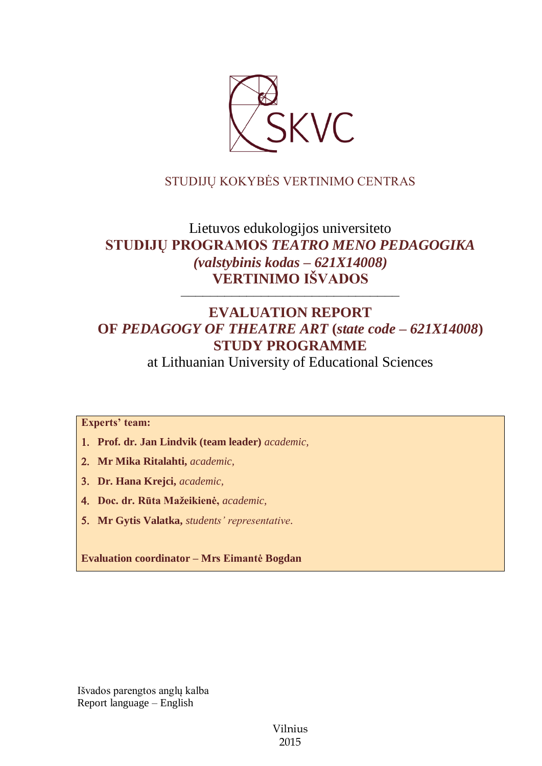

# STUDIJŲ KOKYBĖS VERTINIMO CENTRAS

# Lietuvos edukologijos universiteto **STUDIJŲ PROGRAMOS** *TEATRO MENO PEDAGOGIKA (valstybinis kodas – 621X14008)* **VERTINIMO IŠVADOS**

# **EVALUATION REPORT OF** *PEDAGOGY OF THEATRE ART* **(***state code – 621X14008***) STUDY PROGRAMME**

––––––––––––––––––––––––––––––

at Lithuanian University of Educational Sciences

**Experts' team:** 

- **Prof. dr. Jan Lindvik (team leader)** *academic,*
- **Mr Mika Ritalahti,** *academic,*
- **Dr. Hana Krejci,** *academic,*
- **Doc. dr. Rūta Mažeikienė,** *academic,*
- **Mr Gytis Valatka,** *students' representative*.

**Evaluation coordinator – Mrs Eimantė Bogdan**

Išvados parengtos anglų kalba Report language – English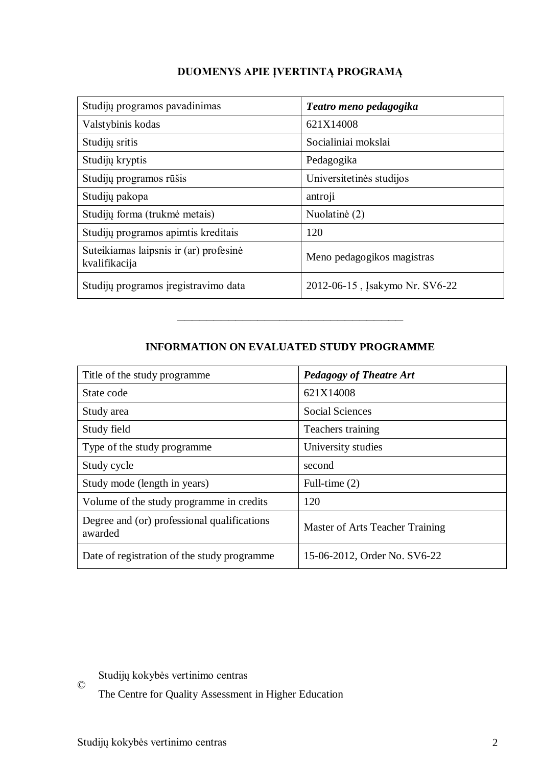| Studijų programos pavadinimas                           | Teatro meno pedagogika         |
|---------------------------------------------------------|--------------------------------|
| Valstybinis kodas                                       | 621X14008                      |
| Studijų sritis                                          | Socialiniai mokslai            |
| Studijų kryptis                                         | Pedagogika                     |
| Studijų programos rūšis                                 | Universitetinės studijos       |
| Studijų pakopa                                          | antroji                        |
| Studijų forma (trukmė metais)                           | Nuolatinė (2)                  |
| Studijų programos apimtis kreditais                     | 120                            |
| Suteikiamas laipsnis ir (ar) profesinė<br>kvalifikacija | Meno pedagogikos magistras     |
| Studijų programos įregistravimo data                    | 2012-06-15, Isakymo Nr. SV6-22 |

# **DUOMENYS APIE ĮVERTINTĄ PROGRAMĄ**

# **INFORMATION ON EVALUATED STUDY PROGRAMME**

–––––––––––––––––––––––––––––––

| Title of the study programme.                          | <b>Pedagogy of Theatre Art</b>  |
|--------------------------------------------------------|---------------------------------|
| State code                                             | 621X14008                       |
| Study area                                             | <b>Social Sciences</b>          |
| Study field                                            | Teachers training               |
| Type of the study programme                            | University studies              |
| Study cycle                                            | second                          |
| Study mode (length in years)                           | Full-time (2)                   |
| Volume of the study programme in credits               | 120                             |
| Degree and (or) professional qualifications<br>awarded | Master of Arts Teacher Training |
| Date of registration of the study programme            | 15-06-2012, Order No. SV6-22    |

© Studijų kokybės vertinimo centras

The Centre for Quality Assessment in Higher Education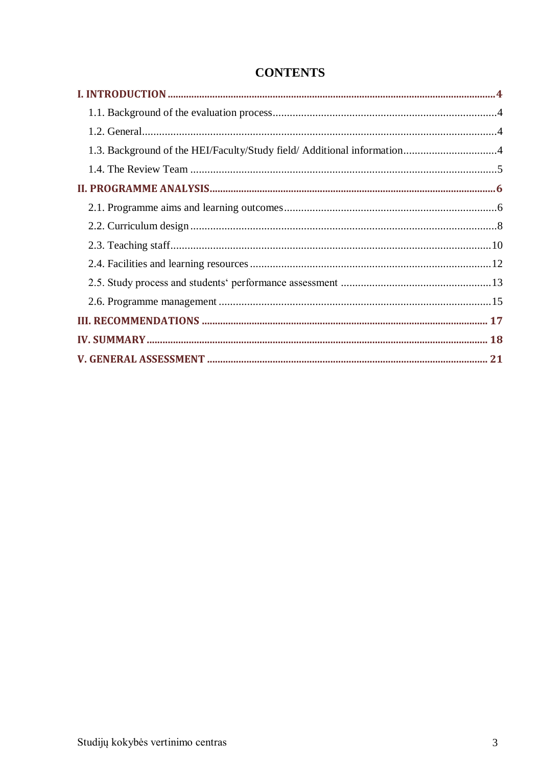# **CONTENTS**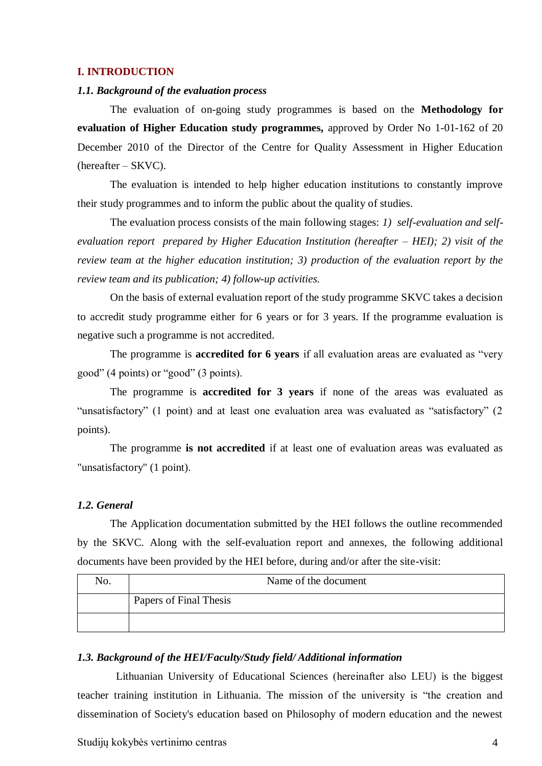#### <span id="page-3-0"></span>**I. INTRODUCTION**

#### <span id="page-3-1"></span>*1.1. Background of the evaluation process*

The evaluation of on-going study programmes is based on the **Methodology for evaluation of Higher Education study programmes,** approved by Order No 1-01-162 of 20 December 2010 of the Director of the Centre for Quality Assessment in Higher Education (hereafter – SKVC).

The evaluation is intended to help higher education institutions to constantly improve their study programmes and to inform the public about the quality of studies.

The evaluation process consists of the main following stages: *1) self-evaluation and selfevaluation report prepared by Higher Education Institution (hereafter – HEI); 2) visit of the review team at the higher education institution; 3) production of the evaluation report by the review team and its publication; 4) follow-up activities.* 

On the basis of external evaluation report of the study programme SKVC takes a decision to accredit study programme either for 6 years or for 3 years. If the programme evaluation is negative such a programme is not accredited.

The programme is **accredited for 6 years** if all evaluation areas are evaluated as "very good" (4 points) or "good" (3 points).

The programme is **accredited for 3 years** if none of the areas was evaluated as "unsatisfactory" (1 point) and at least one evaluation area was evaluated as "satisfactory" (2 points).

The programme **is not accredited** if at least one of evaluation areas was evaluated as "unsatisfactory" (1 point).

### <span id="page-3-2"></span>*1.2. General*

The Application documentation submitted by the HEI follows the outline recommended by the SKVC. Along with the self-evaluation report and annexes, the following additional documents have been provided by the HEI before, during and/or after the site-visit:

| No. | Name of the document   |  |
|-----|------------------------|--|
|     | Papers of Final Thesis |  |
|     |                        |  |

#### <span id="page-3-3"></span>*1.3. Background of the HEI/Faculty/Study field/ Additional information*

Lithuanian University of Educational Sciences (hereinafter also LEU) is the biggest teacher training institution in Lithuania. The mission of the university is "the creation and dissemination of Society's education based on Philosophy of modern education and the newest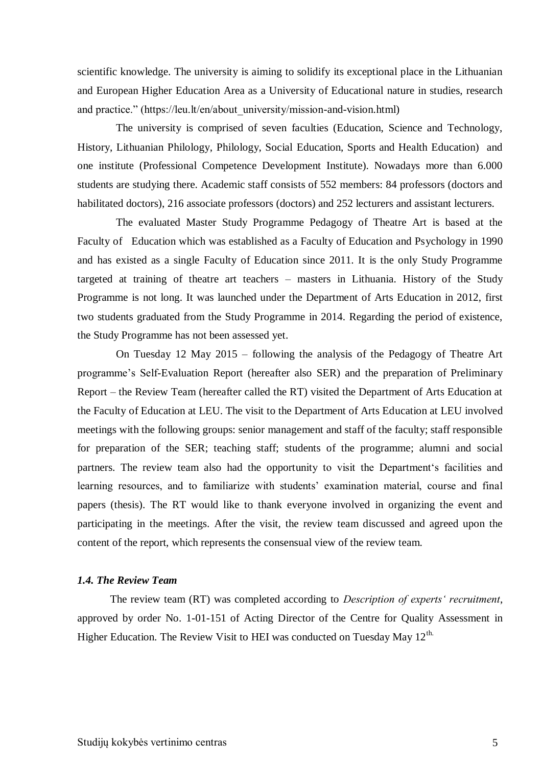scientific knowledge. The university is aiming to solidify its exceptional place in the Lithuanian and European Higher Education Area as a University of Educational nature in studies, research and practice." (https://leu.lt/en/about\_university/mission-and-vision.html)

The university is comprised of seven faculties (Education, Science and Technology, History, Lithuanian Philology, Philology, Social Education, Sports and Health Education) and one institute (Professional Competence Development Institute). Nowadays more than 6.000 students are studying there. Academic staff consists of 552 members: 84 professors (doctors and habilitated doctors), 216 associate professors (doctors) and 252 lecturers and assistant lecturers.

The evaluated Master Study Programme Pedagogy of Theatre Art is based at the Faculty of Education which was established as a Faculty of Education and Psychology in 1990 and has existed as a single Faculty of Education since 2011. It is the only Study Programme targeted at training of theatre art teachers – masters in Lithuania. History of the Study Programme is not long. It was launched under the Department of Arts Education in 2012, first two students graduated from the Study Programme in 2014. Regarding the period of existence, the Study Programme has not been assessed yet.

On Tuesday 12 May 2015 – following the analysis of the Pedagogy of Theatre Art programme's Self-Evaluation Report (hereafter also SER) and the preparation of Preliminary Report – the Review Team (hereafter called the RT) visited the Department of Arts Education at the Faculty of Education at LEU. The visit to the Department of Arts Education at LEU involved meetings with the following groups: senior management and staff of the faculty; staff responsible for preparation of the SER; teaching staff; students of the programme; alumni and social partners. The review team also had the opportunity to visit the Department's facilities and learning resources, and to familiarize with students' examination material, course and final papers (thesis). The RT would like to thank everyone involved in organizing the event and participating in the meetings. After the visit, the review team discussed and agreed upon the content of the report, which represents the consensual view of the review team.

#### <span id="page-4-0"></span>*1.4. The Review Team*

The review team (RT) was completed according to *Description of experts' recruitment*, approved by order No. 1-01-151 of Acting Director of the Centre for Quality Assessment in Higher Education. The Review Visit to HEI was conducted on Tuesday May 12<sup>th.</sup>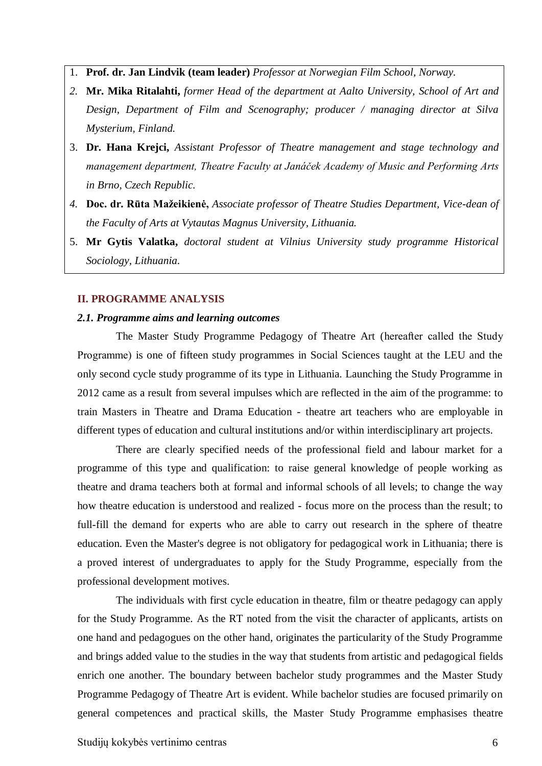- 1. **Prof. dr. Jan Lindvik (team leader)** *Professor at Norwegian Film School, Norway.*
- *2.* **Mr. Mika Ritalahti,** *former Head of the department at Aalto University, School of Art and Design, Department of Film and Scenography; producer / managing director at Silva Mysterium, Finland.*
- 3. **Dr. Hana Krejci,** *Assistant Professor of Theatre management and stage technology and management department, Theatre Faculty at Janáček Academy of Music and Performing Arts in Brno, Czech Republic.*
- *4.* **Doc. dr. Rūta Mažeikienė,** *Associate professor of Theatre Studies Department, Vice-dean of the Faculty of Arts at Vytautas Magnus University, Lithuania.*
- 5. **Mr Gytis Valatka,** *doctoral student at Vilnius University study programme Historical Sociology, Lithuania*.

### <span id="page-5-0"></span>**II. PROGRAMME ANALYSIS**

#### <span id="page-5-1"></span>*2.1. Programme aims and learning outcomes*

The Master Study Programme Pedagogy of Theatre Art (hereafter called the Study Programme) is one of fifteen study programmes in Social Sciences taught at the LEU and the only second cycle study programme of its type in Lithuania. Launching the Study Programme in 2012 came as a result from several impulses which are reflected in the aim of the programme: to train Masters in Theatre and Drama Education - theatre art teachers who are employable in different types of education and cultural institutions and/or within interdisciplinary art projects.

There are clearly specified needs of the professional field and labour market for a programme of this type and qualification: to raise general knowledge of people working as theatre and drama teachers both at formal and informal schools of all levels; to change the way how theatre education is understood and realized - focus more on the process than the result; to full-fill the demand for experts who are able to carry out research in the sphere of theatre education. Even the Master's degree is not obligatory for pedagogical work in Lithuania; there is a proved interest of undergraduates to apply for the Study Programme, especially from the professional development motives.

The individuals with first cycle education in theatre, film or theatre pedagogy can apply for the Study Programme. As the RT noted from the visit the character of applicants, artists on one hand and pedagogues on the other hand, originates the particularity of the Study Programme and brings added value to the studies in the way that students from artistic and pedagogical fields enrich one another. The boundary between bachelor study programmes and the Master Study Programme Pedagogy of Theatre Art is evident. While bachelor studies are focused primarily on general competences and practical skills, the Master Study Programme emphasises theatre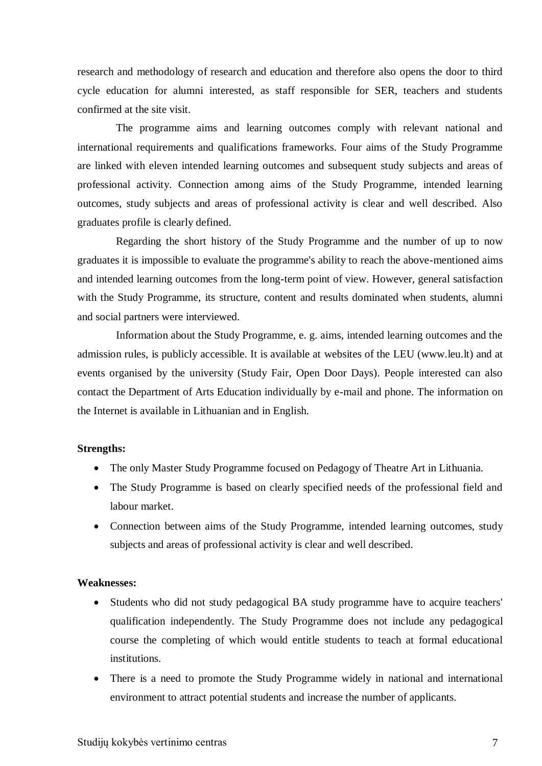research and methodology of research and education and therefore also opens the door to third cycle education for alumni interested, as staff responsible for SER, teachers and students confirmed at the site visit.

The programme aims and learning outcomes comply with relevant national and international requirements and qualifications frameworks. Four aims of the Study Programme are linked with eleven intended learning outcomes and subsequent study subjects and areas of professional activity. Connection among aims of the Study Programme, intended learning outcomes, study subjects and areas of professional activity is clear and well described. Also graduates profile is clearly defined.

Regarding the short history of the Study Programme and the number of up to now graduates it is impossible to evaluate the programme's ability to reach the above-mentioned aims and intended learning outcomes from the long-term point of view. However, general satisfaction with the Study Programme, its structure, content and results dominated when students, alumni and social partners were interviewed.

Information about the Study Programme, e. g. aims, intended learning outcomes and the admission rules, is publicly accessible. It is available at websites of the LEU (www.leu.lt) and at events organised by the university (Study Fair, Open Door Days). People interested can also contact the Department of Arts Education individually by e-mail and phone. The information on the Internet is available in Lithuanian and in English.

#### **Strengths:**

- The only Master Study Programme focused on Pedagogy of Theatre Art in Lithuania.
- The Study Programme is based on clearly specified needs of the professional field and labour market.
- Connection between aims of the Study Programme, intended learning outcomes, study subjects and areas of professional activity is clear and well described.

## **Weaknesses:**

- Students who did not study pedagogical BA study programme have to acquire teachers' qualification independently. The Study Programme does not include any pedagogical course the completing of which would entitle students to teach at formal educational institutions.
- There is a need to promote the Study Programme widely in national and international environment to attract potential students and increase the number of applicants.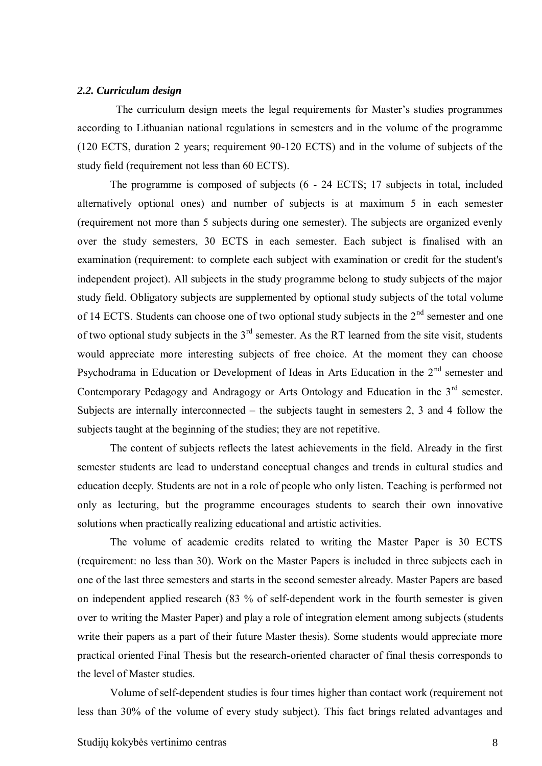#### <span id="page-7-0"></span>*2.2. Curriculum design*

The curriculum design meets the legal requirements for Master's studies programmes according to Lithuanian national regulations in semesters and in the volume of the programme (120 ECTS, duration 2 years; requirement 90-120 ECTS) and in the volume of subjects of the study field (requirement not less than 60 ECTS).

The programme is composed of subjects (6 - 24 ECTS; 17 subjects in total, included alternatively optional ones) and number of subjects is at maximum 5 in each semester (requirement not more than 5 subjects during one semester). The subjects are organized evenly over the study semesters, 30 ECTS in each semester. Each subject is finalised with an examination (requirement: to complete each subject with examination or credit for the student's independent project). All subjects in the study programme belong to study subjects of the major study field. Obligatory subjects are supplemented by optional study subjects of the total volume of 14 ECTS. Students can choose one of two optional study subjects in the  $2<sup>nd</sup>$  semester and one of two optional study subjects in the  $3<sup>rd</sup>$  semester. As the RT learned from the site visit, students would appreciate more interesting subjects of free choice. At the moment they can choose Psychodrama in Education or Development of Ideas in Arts Education in the 2<sup>nd</sup> semester and Contemporary Pedagogy and Andragogy or Arts Ontology and Education in the 3<sup>rd</sup> semester. Subjects are internally interconnected – the subjects taught in semesters 2, 3 and 4 follow the subjects taught at the beginning of the studies; they are not repetitive.

The content of subjects reflects the latest achievements in the field. Already in the first semester students are lead to understand conceptual changes and trends in cultural studies and education deeply. Students are not in a role of people who only listen. Teaching is performed not only as lecturing, but the programme encourages students to search their own innovative solutions when practically realizing educational and artistic activities.

The volume of academic credits related to writing the Master Paper is 30 ECTS (requirement: no less than 30). Work on the Master Papers is included in three subjects each in one of the last three semesters and starts in the second semester already. Master Papers are based on independent applied research (83 % of self-dependent work in the fourth semester is given over to writing the Master Paper) and play a role of integration element among subjects (students write their papers as a part of their future Master thesis). Some students would appreciate more practical oriented Final Thesis but the research-oriented character of final thesis corresponds to the level of Master studies.

Volume of self-dependent studies is four times higher than contact work (requirement not less than 30% of the volume of every study subject). This fact brings related advantages and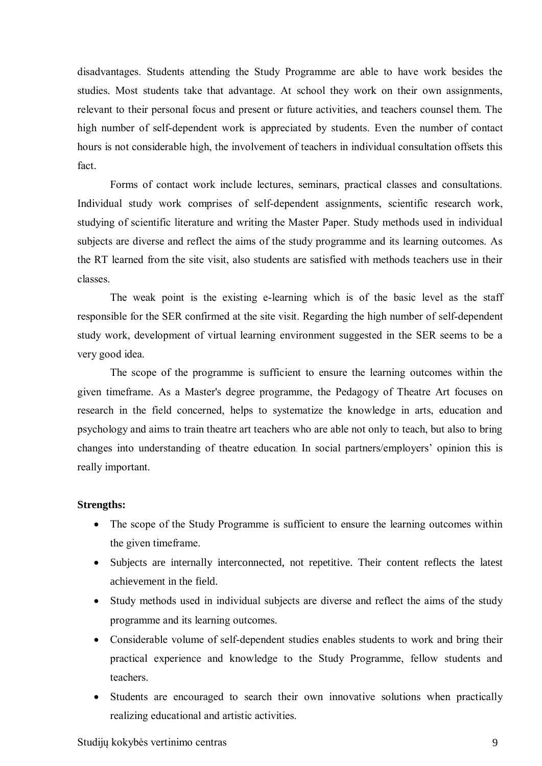disadvantages. Students attending the Study Programme are able to have work besides the studies. Most students take that advantage. At school they work on their own assignments, relevant to their personal focus and present or future activities, and teachers counsel them. The high number of self-dependent work is appreciated by students. Even the number of contact hours is not considerable high, the involvement of teachers in individual consultation offsets this fact.

Forms of contact work include lectures, seminars, practical classes and consultations. Individual study work comprises of self-dependent assignments, scientific research work, studying of scientific literature and writing the Master Paper. Study methods used in individual subjects are diverse and reflect the aims of the study programme and its learning outcomes. As the RT learned from the site visit, also students are satisfied with methods teachers use in their classes.

The weak point is the existing e-learning which is of the basic level as the staff responsible for the SER confirmed at the site visit. Regarding the high number of self-dependent study work, development of virtual learning environment suggested in the SER seems to be a very good idea.

The scope of the programme is sufficient to ensure the learning outcomes within the given timeframe. As a Master's degree programme, the Pedagogy of Theatre Art focuses on research in the field concerned, helps to systematize the knowledge in arts, education and psychology and aims to train theatre art teachers who are able not only to teach, but also to bring changes into understanding of theatre education. In social partners/employers' opinion this is really important.

### **Strengths:**

- The scope of the Study Programme is sufficient to ensure the learning outcomes within the given timeframe.
- Subjects are internally interconnected, not repetitive. Their content reflects the latest achievement in the field.
- Study methods used in individual subjects are diverse and reflect the aims of the study programme and its learning outcomes.
- Considerable volume of self-dependent studies enables students to work and bring their practical experience and knowledge to the Study Programme, fellow students and teachers.
- Students are encouraged to search their own innovative solutions when practically realizing educational and artistic activities.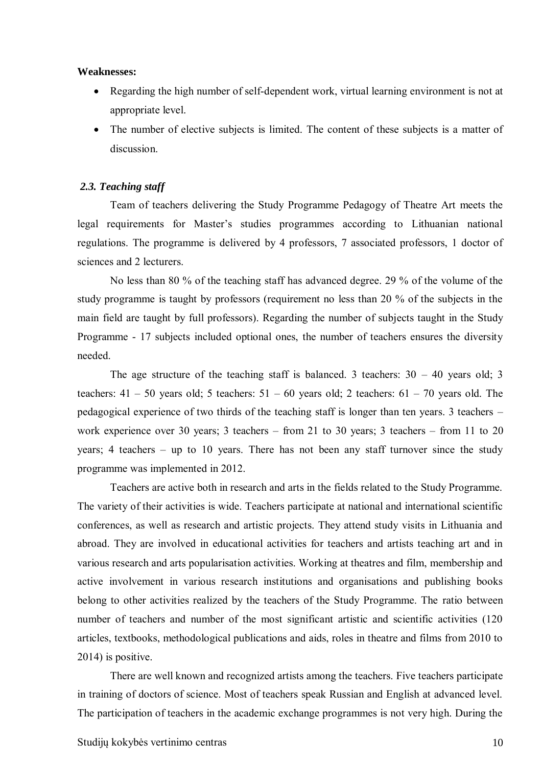#### **Weaknesses:**

- Regarding the high number of self-dependent work, virtual learning environment is not at appropriate level.
- The number of elective subjects is limited. The content of these subjects is a matter of discussion.

### <span id="page-9-0"></span>*2.3. Teaching staff*

Team of teachers delivering the Study Programme Pedagogy of Theatre Art meets the legal requirements for Master's studies programmes according to Lithuanian national regulations. The programme is delivered by 4 professors, 7 associated professors, 1 doctor of sciences and 2 lecturers.

No less than 80 % of the teaching staff has advanced degree. 29 % of the volume of the study programme is taught by professors (requirement no less than 20 % of the subjects in the main field are taught by full professors). Regarding the number of subjects taught in the Study Programme - 17 subjects included optional ones, the number of teachers ensures the diversity needed.

The age structure of the teaching staff is balanced. 3 teachers:  $30 - 40$  years old; 3 teachers:  $41 - 50$  years old; 5 teachers:  $51 - 60$  years old; 2 teachers:  $61 - 70$  years old. The pedagogical experience of two thirds of the teaching staff is longer than ten years. 3 teachers – work experience over 30 years; 3 teachers – from 21 to 30 years; 3 teachers – from 11 to 20 years; 4 teachers – up to 10 years. There has not been any staff turnover since the study programme was implemented in 2012.

Teachers are active both in research and arts in the fields related to the Study Programme. The variety of their activities is wide. Teachers participate at national and international scientific conferences, as well as research and artistic projects. They attend study visits in Lithuania and abroad. They are involved in educational activities for teachers and artists teaching art and in various research and arts popularisation activities. Working at theatres and film, membership and active involvement in various research institutions and organisations and publishing books belong to other activities realized by the teachers of the Study Programme. The ratio between number of teachers and number of the most significant artistic and scientific activities (120) articles, textbooks, methodological publications and aids, roles in theatre and films from 2010 to 2014) is positive.

There are well known and recognized artists among the teachers. Five teachers participate in training of doctors of science. Most of teachers speak Russian and English at advanced level. The participation of teachers in the academic exchange programmes is not very high. During the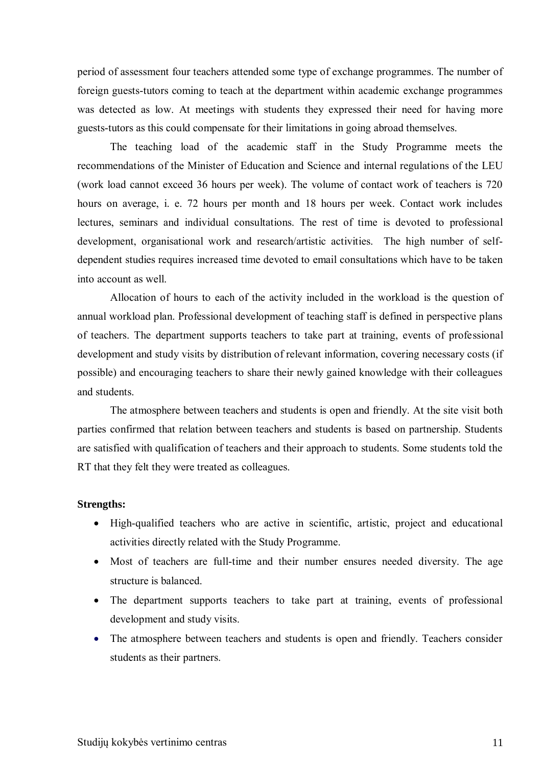period of assessment four teachers attended some type of exchange programmes. The number of foreign guests-tutors coming to teach at the department within academic exchange programmes was detected as low. At meetings with students they expressed their need for having more guests-tutors as this could compensate for their limitations in going abroad themselves.

The teaching load of the academic staff in the Study Programme meets the recommendations of the Minister of Education and Science and internal regulations of the LEU (work load cannot exceed 36 hours per week). The volume of contact work of teachers is 720 hours on average, i. e. 72 hours per month and 18 hours per week. Contact work includes lectures, seminars and individual consultations. The rest of time is devoted to professional development, organisational work and research/artistic activities. The high number of selfdependent studies requires increased time devoted to email consultations which have to be taken into account as well.

Allocation of hours to each of the activity included in the workload is the question of annual workload plan. Professional development of teaching staff is defined in perspective plans of teachers. The department supports teachers to take part at training, events of professional development and study visits by distribution of relevant information, covering necessary costs (if possible) and encouraging teachers to share their newly gained knowledge with their colleagues and students.

The atmosphere between teachers and students is open and friendly. At the site visit both parties confirmed that relation between teachers and students is based on partnership. Students are satisfied with qualification of teachers and their approach to students. Some students told the RT that they felt they were treated as colleagues.

### **Strengths:**

- High-qualified teachers who are active in scientific, artistic, project and educational activities directly related with the Study Programme.
- Most of teachers are full-time and their number ensures needed diversity. The age structure is balanced.
- The department supports teachers to take part at training, events of professional development and study visits.
- The atmosphere between teachers and students is open and friendly. Teachers consider students as their partners.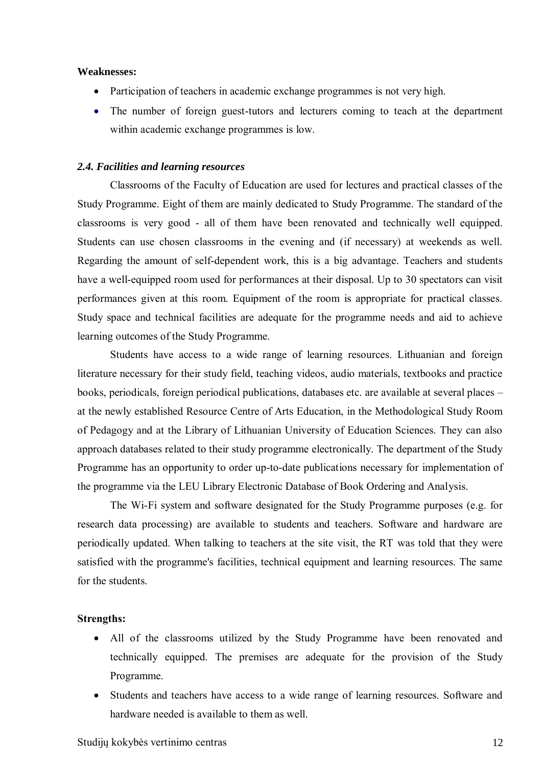#### **Weaknesses:**

- Participation of teachers in academic exchange programmes is not very high.
- The number of foreign guest-tutors and lecturers coming to teach at the department within academic exchange programmes is low.

## <span id="page-11-0"></span>*2.4. Facilities and learning resources*

Classrooms of the Faculty of Education are used for lectures and practical classes of the Study Programme. Eight of them are mainly dedicated to Study Programme. The standard of the classrooms is very good - all of them have been renovated and technically well equipped. Students can use chosen classrooms in the evening and (if necessary) at weekends as well. Regarding the amount of self-dependent work, this is a big advantage. Teachers and students have a well-equipped room used for performances at their disposal. Up to 30 spectators can visit performances given at this room. Equipment of the room is appropriate for practical classes. Study space and technical facilities are adequate for the programme needs and aid to achieve learning outcomes of the Study Programme.

Students have access to a wide range of learning resources. Lithuanian and foreign literature necessary for their study field, teaching videos, audio materials, textbooks and practice books, periodicals, foreign periodical publications, databases etc. are available at several places – at the newly established Resource Centre of Arts Education, in the Methodological Study Room of Pedagogy and at the Library of Lithuanian University of Education Sciences. They can also approach databases related to their study programme electronically. The department of the Study Programme has an opportunity to order up-to-date publications necessary for implementation of the programme via the LEU Library Electronic Database of Book Ordering and Analysis.

The Wi-Fi system and software designated for the Study Programme purposes (e.g. for research data processing) are available to students and teachers. Software and hardware are periodically updated. When talking to teachers at the site visit, the RT was told that they were satisfied with the programme's facilities, technical equipment and learning resources. The same for the students.

## **Strengths:**

- All of the classrooms utilized by the Study Programme have been renovated and technically equipped. The premises are adequate for the provision of the Study Programme.
- Students and teachers have access to a wide range of learning resources. Software and hardware needed is available to them as well.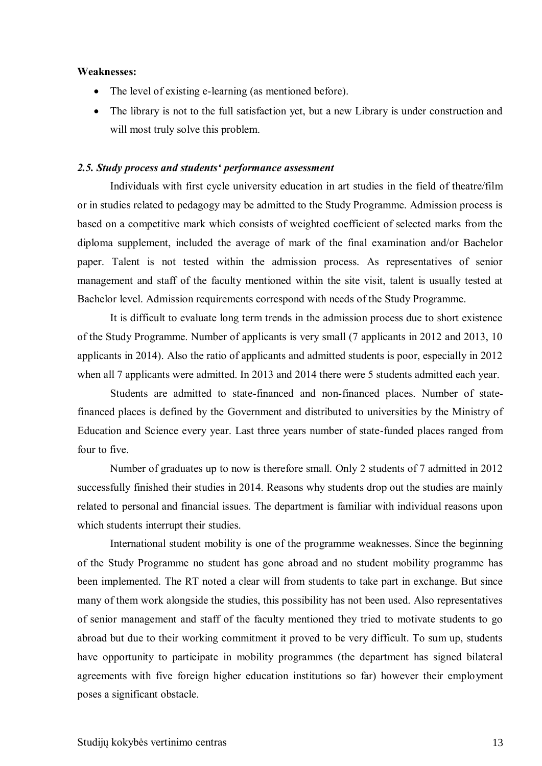#### **Weaknesses:**

- The level of existing e-learning (as mentioned before).
- The library is not to the full satisfaction yet, but a new Library is under construction and will most truly solve this problem.

### <span id="page-12-0"></span>*2.5. Study process and students' performance assessment*

Individuals with first cycle university education in art studies in the field of theatre/film or in studies related to pedagogy may be admitted to the Study Programme. Admission process is based on a competitive mark which consists of weighted coefficient of selected marks from the diploma supplement, included the average of mark of the final examination and/or Bachelor paper. Talent is not tested within the admission process. As representatives of senior management and staff of the faculty mentioned within the site visit, talent is usually tested at Bachelor level. Admission requirements correspond with needs of the Study Programme.

It is difficult to evaluate long term trends in the admission process due to short existence of the Study Programme. Number of applicants is very small (7 applicants in 2012 and 2013, 10 applicants in 2014). Also the ratio of applicants and admitted students is poor, especially in 2012 when all 7 applicants were admitted. In 2013 and 2014 there were 5 students admitted each year.

Students are admitted to state-financed and non-financed places. Number of statefinanced places is defined by the Government and distributed to universities by the Ministry of Education and Science every year. Last three years number of state-funded places ranged from four to five.

Number of graduates up to now is therefore small. Only 2 students of 7 admitted in 2012 successfully finished their studies in 2014. Reasons why students drop out the studies are mainly related to personal and financial issues. The department is familiar with individual reasons upon which students interrupt their studies.

International student mobility is one of the programme weaknesses. Since the beginning of the Study Programme no student has gone abroad and no student mobility programme has been implemented. The RT noted a clear will from students to take part in exchange. But since many of them work alongside the studies, this possibility has not been used. Also representatives of senior management and staff of the faculty mentioned they tried to motivate students to go abroad but due to their working commitment it proved to be very difficult. To sum up, students have opportunity to participate in mobility programmes (the department has signed bilateral agreements with five foreign higher education institutions so far) however their employment poses a significant obstacle.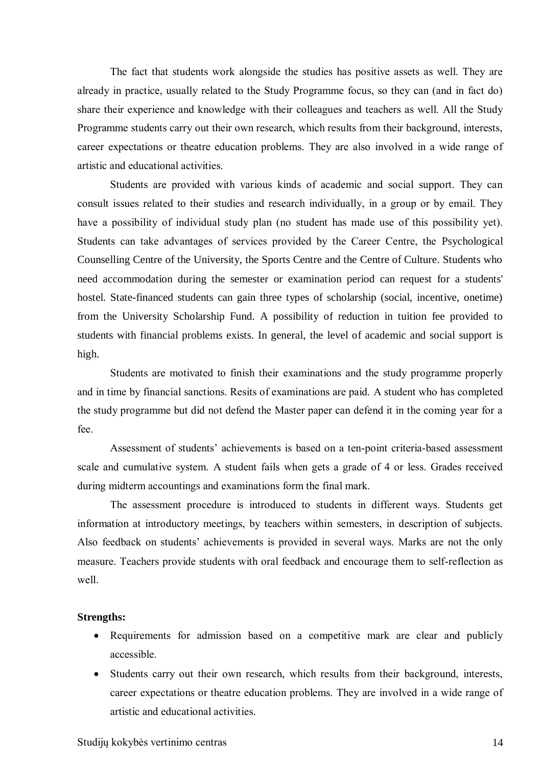The fact that students work alongside the studies has positive assets as well. They are already in practice, usually related to the Study Programme focus, so they can (and in fact do) share their experience and knowledge with their colleagues and teachers as well. All the Study Programme students carry out their own research, which results from their background, interests, career expectations or theatre education problems. They are also involved in a wide range of artistic and educational activities.

Students are provided with various kinds of academic and social support. They can consult issues related to their studies and research individually, in a group or by email. They have a possibility of individual study plan (no student has made use of this possibility yet). Students can take advantages of services provided by the Career Centre, the Psychological Counselling Centre of the University, the Sports Centre and the Centre of Culture. Students who need accommodation during the semester or examination period can request for a students' hostel. State-financed students can gain three types of scholarship (social, incentive, onetime) from the University Scholarship Fund. A possibility of reduction in tuition fee provided to students with financial problems exists. In general, the level of academic and social support is high.

Students are motivated to finish their examinations and the study programme properly and in time by financial sanctions. Resits of examinations are paid. A student who has completed the study programme but did not defend the Master paper can defend it in the coming year for a fee.

Assessment of students' achievements is based on a ten-point criteria-based assessment scale and cumulative system. A student fails when gets a grade of 4 or less. Grades received during midterm accountings and examinations form the final mark.

The assessment procedure is introduced to students in different ways. Students get information at introductory meetings, by teachers within semesters, in description of subjects. Also feedback on students' achievements is provided in several ways. Marks are not the only measure. Teachers provide students with oral feedback and encourage them to self-reflection as well.

## **Strengths:**

- Requirements for admission based on a competitive mark are clear and publicly accessible.
- Students carry out their own research, which results from their background, interests, career expectations or theatre education problems. They are involved in a wide range of artistic and educational activities.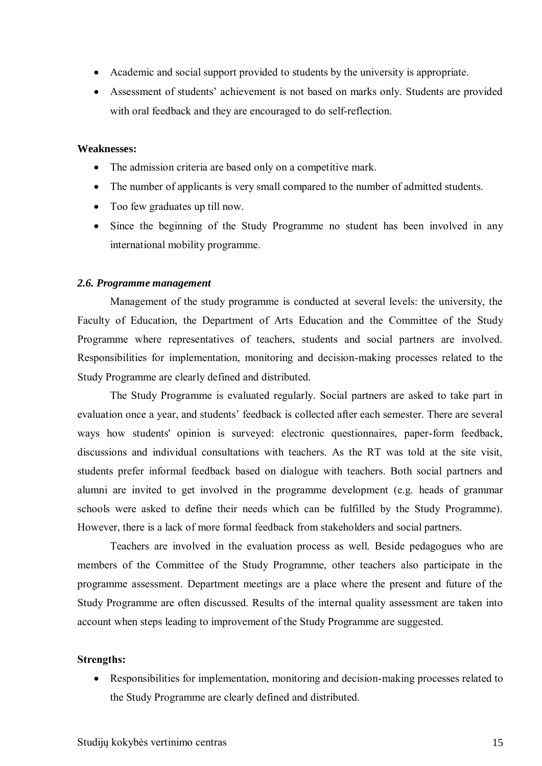- Academic and social support provided to students by the university is appropriate.
- Assessment of students' achievement is not based on marks only. Students are provided with oral feedback and they are encouraged to do self-reflection.

### **Weaknesses:**

- The admission criteria are based only on a competitive mark.
- The number of applicants is very small compared to the number of admitted students.
- Too few graduates up till now.
- Since the beginning of the Study Programme no student has been involved in any international mobility programme.

#### <span id="page-14-0"></span>*2.6. Programme management*

Management of the study programme is conducted at several levels: the university, the Faculty of Education, the Department of Arts Education and the Committee of the Study Programme where representatives of teachers, students and social partners are involved. Responsibilities for implementation, monitoring and decision-making processes related to the Study Programme are clearly defined and distributed.

The Study Programme is evaluated regularly. Social partners are asked to take part in evaluation once a year, and students' feedback is collected after each semester. There are several ways how students' opinion is surveyed: electronic questionnaires, paper-form feedback, discussions and individual consultations with teachers. As the RT was told at the site visit, students prefer informal feedback based on dialogue with teachers. Both social partners and alumni are invited to get involved in the programme development (e.g. heads of grammar schools were asked to define their needs which can be fulfilled by the Study Programme). However, there is a lack of more formal feedback from stakeholders and social partners.

Teachers are involved in the evaluation process as well. Beside pedagogues who are members of the Committee of the Study Programme, other teachers also participate in the programme assessment. Department meetings are a place where the present and future of the Study Programme are often discussed. Results of the internal quality assessment are taken into account when steps leading to improvement of the Study Programme are suggested.

### **Strengths:**

 Responsibilities for implementation, monitoring and decision-making processes related to the Study Programme are clearly defined and distributed.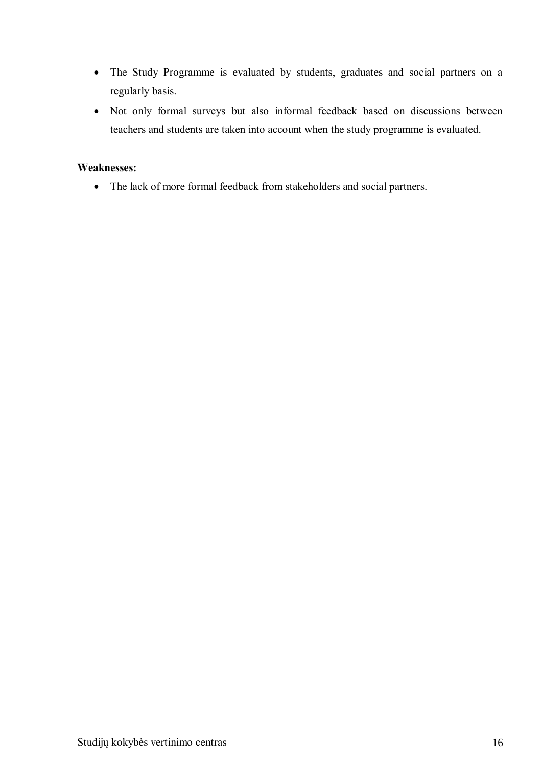- The Study Programme is evaluated by students, graduates and social partners on a regularly basis.
- Not only formal surveys but also informal feedback based on discussions between teachers and students are taken into account when the study programme is evaluated.

## **Weaknesses:**

The lack of more formal feedback from stakeholders and social partners.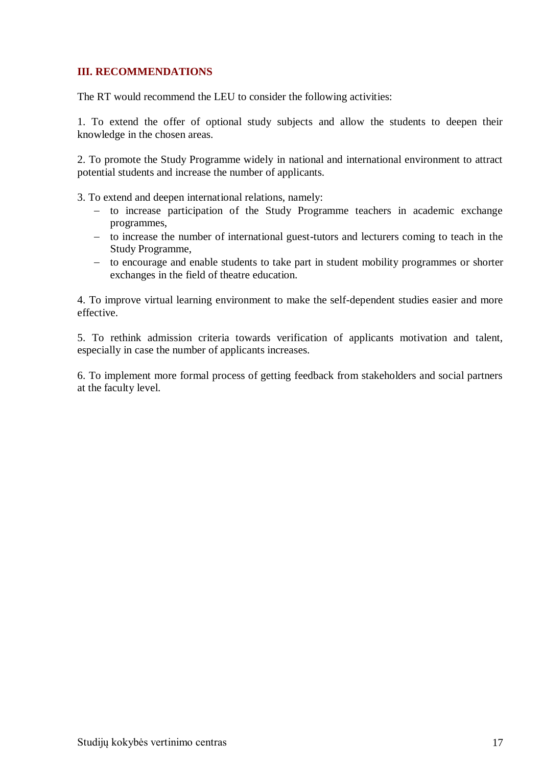## <span id="page-16-0"></span>**III. RECOMMENDATIONS**

The RT would recommend the LEU to consider the following activities:

1. To extend the offer of optional study subjects and allow the students to deepen their knowledge in the chosen areas.

2. To promote the Study Programme widely in national and international environment to attract potential students and increase the number of applicants.

3. To extend and deepen international relations, namely:

- to increase participation of the Study Programme teachers in academic exchange programmes,
- to increase the number of international guest-tutors and lecturers coming to teach in the Study Programme,
- to encourage and enable students to take part in student mobility programmes or shorter exchanges in the field of theatre education.

4. To improve virtual learning environment to make the self-dependent studies easier and more effective.

5. To rethink admission criteria towards verification of applicants motivation and talent, especially in case the number of applicants increases.

6. To implement more formal process of getting feedback from stakeholders and social partners at the faculty level.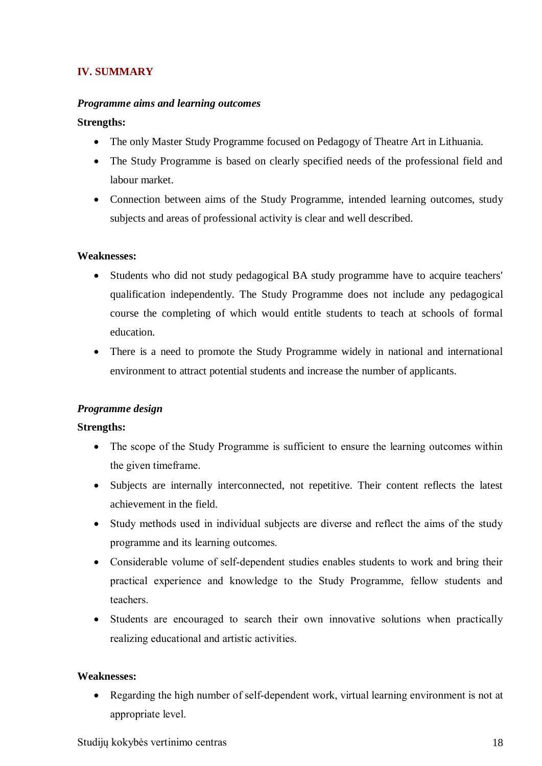# <span id="page-17-0"></span>**IV. SUMMARY**

## *Programme aims and learning outcomes*

## **Strengths:**

- The only Master Study Programme focused on Pedagogy of Theatre Art in Lithuania.
- The Study Programme is based on clearly specified needs of the professional field and labour market.
- Connection between aims of the Study Programme, intended learning outcomes, study subjects and areas of professional activity is clear and well described.

## **Weaknesses:**

- Students who did not study pedagogical BA study programme have to acquire teachers' qualification independently. The Study Programme does not include any pedagogical course the completing of which would entitle students to teach at schools of formal education.
- There is a need to promote the Study Programme widely in national and international environment to attract potential students and increase the number of applicants.

## *Programme design*

## **Strengths:**

- The scope of the Study Programme is sufficient to ensure the learning outcomes within the given timeframe.
- Subjects are internally interconnected, not repetitive. Their content reflects the latest achievement in the field.
- Study methods used in individual subjects are diverse and reflect the aims of the study programme and its learning outcomes.
- Considerable volume of self-dependent studies enables students to work and bring their practical experience and knowledge to the Study Programme, fellow students and teachers.
- Students are encouraged to search their own innovative solutions when practically realizing educational and artistic activities.

## **Weaknesses:**

 Regarding the high number of self-dependent work, virtual learning environment is not at appropriate level.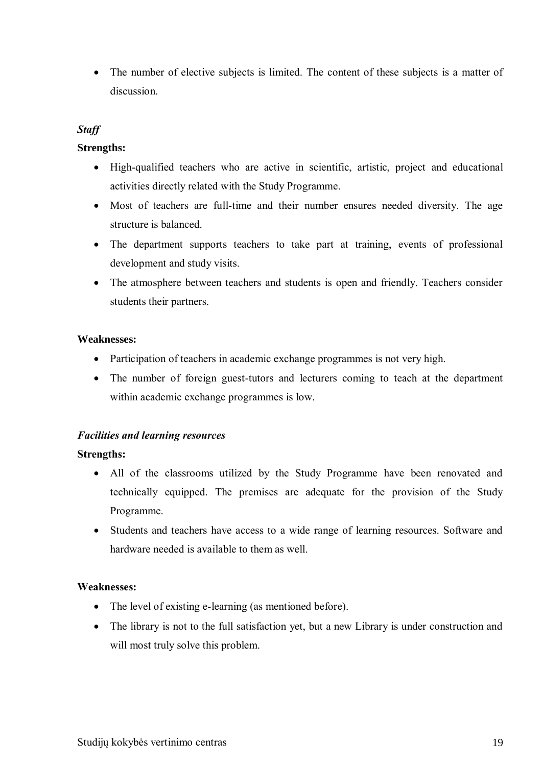• The number of elective subjects is limited. The content of these subjects is a matter of discussion.

# *Staff*

## **Strengths:**

- High-qualified teachers who are active in scientific, artistic, project and educational activities directly related with the Study Programme.
- Most of teachers are full-time and their number ensures needed diversity. The age structure is balanced.
- The department supports teachers to take part at training, events of professional development and study visits.
- The atmosphere between teachers and students is open and friendly. Teachers consider students their partners.

## **Weaknesses:**

- Participation of teachers in academic exchange programmes is not very high.
- The number of foreign guest-tutors and lecturers coming to teach at the department within academic exchange programmes is low.

## *Facilities and learning resources*

## **Strengths:**

- All of the classrooms utilized by the Study Programme have been renovated and technically equipped. The premises are adequate for the provision of the Study Programme.
- Students and teachers have access to a wide range of learning resources. Software and hardware needed is available to them as well.

## **Weaknesses:**

- The level of existing e-learning (as mentioned before).
- The library is not to the full satisfaction yet, but a new Library is under construction and will most truly solve this problem.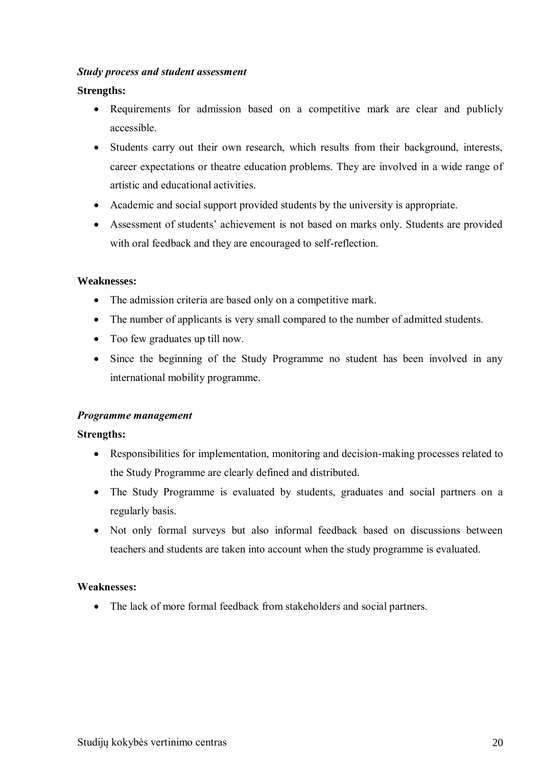## *Study process and student assessment*

## **Strengths:**

- Requirements for admission based on a competitive mark are clear and publicly accessible.
- Students carry out their own research, which results from their background, interests, career expectations or theatre education problems. They are involved in a wide range of artistic and educational activities.
- Academic and social support provided students by the university is appropriate.
- Assessment of students' achievement is not based on marks only. Students are provided with oral feedback and they are encouraged to self-reflection.

## **Weaknesses:**

- The admission criteria are based only on a competitive mark.
- The number of applicants is very small compared to the number of admitted students.
- Too few graduates up till now.
- Since the beginning of the Study Programme no student has been involved in any international mobility programme.

## *Programme management*

## **Strengths:**

- Responsibilities for implementation, monitoring and decision-making processes related to the Study Programme are clearly defined and distributed.
- The Study Programme is evaluated by students, graduates and social partners on a regularly basis.
- Not only formal surveys but also informal feedback based on discussions between teachers and students are taken into account when the study programme is evaluated.

## **Weaknesses:**

• The lack of more formal feedback from stakeholders and social partners.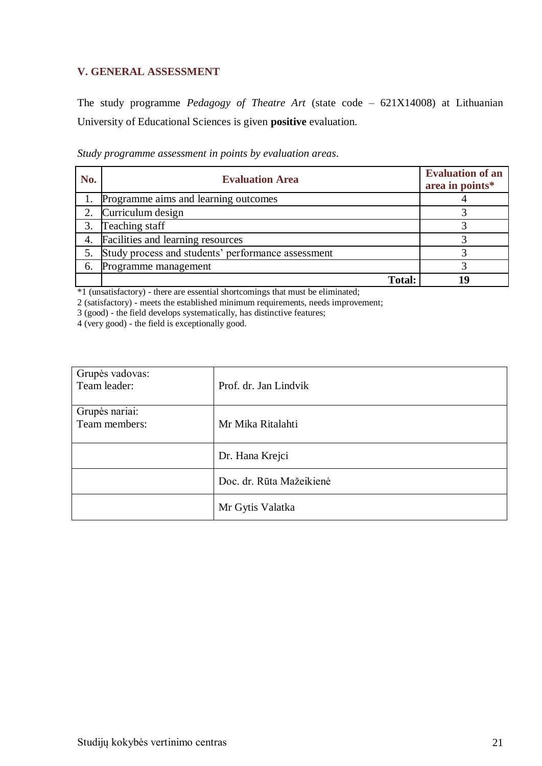# <span id="page-20-0"></span>**V. GENERAL ASSESSMENT**

The study programme *Pedagogy of Theatre Art* (state code – 621X14008) at Lithuanian University of Educational Sciences is given **positive** evaluation.

| No. | <b>Evaluation Area</b>                             | <b>Evaluation of an</b><br>area in points* |
|-----|----------------------------------------------------|--------------------------------------------|
|     | Programme aims and learning outcomes               |                                            |
|     | Curriculum design                                  |                                            |
| 3.  | Teaching staff                                     |                                            |
| 4.  | Facilities and learning resources                  |                                            |
| 5.  | Study process and students' performance assessment |                                            |
| 6.  | Programme management                               |                                            |
|     | <b>Total:</b>                                      |                                            |

\*1 (unsatisfactory) - there are essential shortcomings that must be eliminated;

2 (satisfactory) - meets the established minimum requirements, needs improvement;

3 (good) - the field develops systematically, has distinctive features;

4 (very good) - the field is exceptionally good.

| Grupės vadovas:<br>Team leader: | Prof. dr. Jan Lindvik    |
|---------------------------------|--------------------------|
| Grupės nariai:<br>Team members: | Mr Mika Ritalahti        |
|                                 | Dr. Hana Krejci          |
|                                 | Doc. dr. Rūta Mažeikienė |
|                                 | Mr Gytis Valatka         |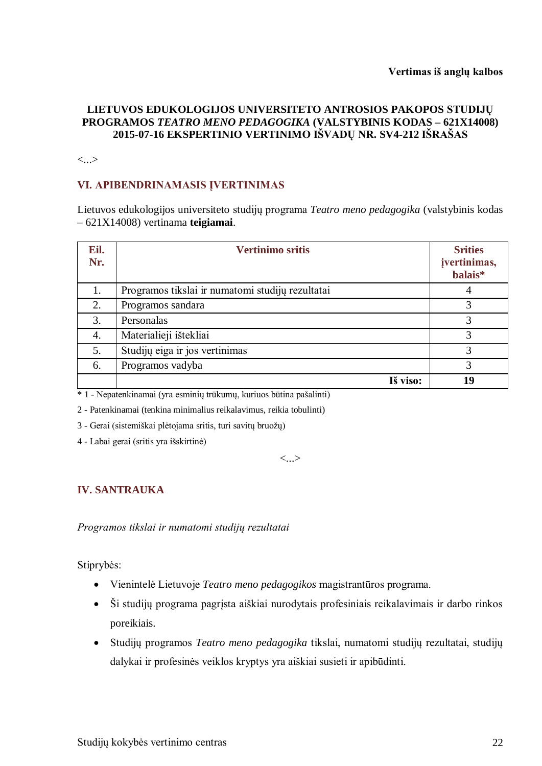## **LIETUVOS EDUKOLOGIJOS UNIVERSITETO ANTROSIOS PAKOPOS STUDIJŲ PROGRAMOS** *TEATRO MENO PEDAGOGIKA* **(VALSTYBINIS KODAS – 621X14008) 2015-07-16 EKSPERTINIO VERTINIMO IŠVADŲ NR. SV4-212 IŠRAŠAS**

<...>

# **VI. APIBENDRINAMASIS ĮVERTINIMAS**

Lietuvos edukologijos universiteto studijų programa *Teatro meno pedagogika* (valstybinis kodas – 621X14008) vertinama **teigiamai**.

| Eil.<br>Nr. | <b>Vertinimo sritis</b>                          | <b>Srities</b><br>įvertinimas,<br>balais* |
|-------------|--------------------------------------------------|-------------------------------------------|
| 1.          | Programos tikslai ir numatomi studijų rezultatai | 4                                         |
| 2.          | Programos sandara                                |                                           |
| 3.          | Personalas                                       | 3                                         |
| 4.          | Materialieji ištekliai                           | 3                                         |
| 5.          | Studijų eiga ir jos vertinimas                   | 3                                         |
| 6.          | Programos vadyba                                 | 3                                         |
|             | Iš viso:                                         | 19                                        |

\* 1 - Nepatenkinamai (yra esminių trūkumų, kuriuos būtina pašalinti)

2 - Patenkinamai (tenkina minimalius reikalavimus, reikia tobulinti)

3 - Gerai (sistemiškai plėtojama sritis, turi savitų bruožų)

4 - Labai gerai (sritis yra išskirtinė)

<...>

# **IV. SANTRAUKA**

*Programos tikslai ir numatomi studijų rezultatai*

Stiprybės:

- Vienintelė Lietuvoje *Teatro meno pedagogikos* magistrantūros programa.
- Ši studijų programa pagrįsta aiškiai nurodytais profesiniais reikalavimais ir darbo rinkos poreikiais.
- Studijų programos *Teatro meno pedagogika* tikslai, numatomi studijų rezultatai, studijų dalykai ir profesinės veiklos kryptys yra aiškiai susieti ir apibūdinti.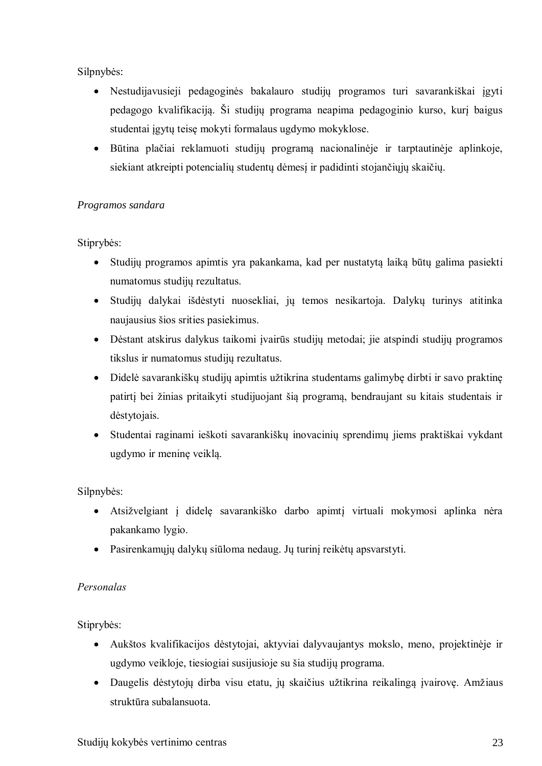Silpnybės:

- Nestudijavusieji pedagoginės bakalauro studijų programos turi savarankiškai įgyti pedagogo kvalifikaciją. Ši studijų programa neapima pedagoginio kurso, kurį baigus studentai įgytų teisę mokyti formalaus ugdymo mokyklose.
- Būtina plačiai reklamuoti studijų programą nacionalinėje ir tarptautinėje aplinkoje, siekiant atkreipti potencialių studentų dėmesį ir padidinti stojančiųjų skaičių.

# *Programos sandara*

Stiprybės:

- Studijų programos apimtis yra pakankama, kad per nustatytą laiką būtų galima pasiekti numatomus studijų rezultatus.
- Studijų dalykai išdėstyti nuosekliai, jų temos nesikartoja. Dalykų turinys atitinka naujausius šios srities pasiekimus.
- Dėstant atskirus dalykus taikomi įvairūs studijų metodai; jie atspindi studijų programos tikslus ir numatomus studijų rezultatus.
- Didelė savarankiškų studijų apimtis užtikrina studentams galimybę dirbti ir savo praktinę patirtį bei žinias pritaikyti studijuojant šią programą, bendraujant su kitais studentais ir dėstytojais.
- Studentai raginami ieškoti savarankiškų inovacinių sprendimų jiems praktiškai vykdant ugdymo ir meninę veiklą.

Silpnybės:

- Atsižvelgiant į didelę savarankiško darbo apimtį virtuali mokymosi aplinka nėra pakankamo lygio.
- Pasirenkamųjų dalykų siūloma nedaug. Jų turinį reikėtų apsvarstyti.

# *Personalas*

Stiprybės:

- Aukštos kvalifikacijos dėstytojai, aktyviai dalyvaujantys mokslo, meno, projektinėje ir ugdymo veikloje, tiesiogiai susijusioje su šia studijų programa.
- Daugelis dėstytojų dirba visu etatu, jų skaičius užtikrina reikalingą įvairovę. Amžiaus struktūra subalansuota.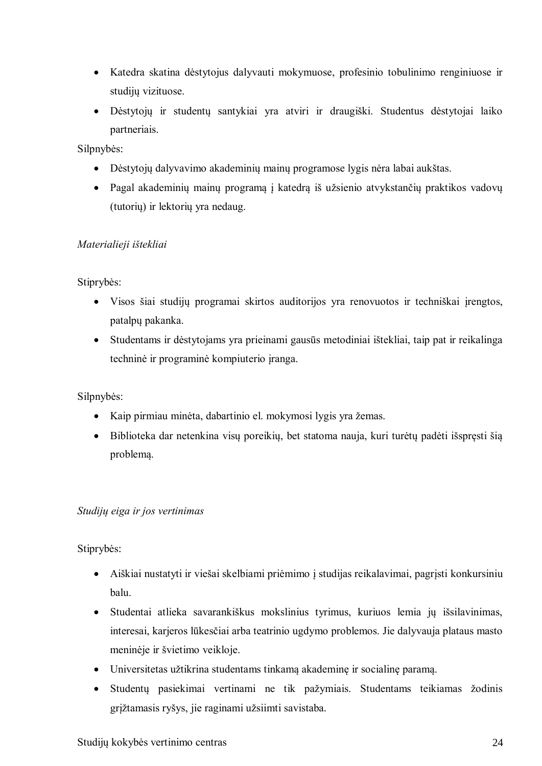- Katedra skatina dėstytojus dalyvauti mokymuose, profesinio tobulinimo renginiuose ir studijų vizituose.
- Dėstytojų ir studentų santykiai yra atviri ir draugiški. Studentus dėstytojai laiko partneriais.

Silpnybės:

- Dėstytojų dalyvavimo akademinių mainų programose lygis nėra labai aukštas.
- Pagal akademinių mainų programą į katedrą iš užsienio atvykstančių praktikos vadovų (tutorių) ir lektorių yra nedaug.

## *Materialieji ištekliai*

Stiprybės:

- Visos šiai studijų programai skirtos auditorijos yra renovuotos ir techniškai įrengtos, patalpų pakanka.
- Studentams ir dėstytojams yra prieinami gausūs metodiniai ištekliai, taip pat ir reikalinga techninė ir programinė kompiuterio įranga.

Silpnybės:

- Kaip pirmiau minėta, dabartinio el. mokymosi lygis yra žemas.
- Biblioteka dar netenkina visų poreikių, bet statoma nauja, kuri turėtų padėti išspręsti šią problemą.

## *Studijų eiga ir jos vertinimas*

Stiprybės:

- Aiškiai nustatyti ir viešai skelbiami priėmimo į studijas reikalavimai, pagrįsti konkursiniu balu.
- Studentai atlieka savarankiškus mokslinius tyrimus, kuriuos lemia jų išsilavinimas, interesai, karjeros lūkesčiai arba teatrinio ugdymo problemos. Jie dalyvauja plataus masto meninėje ir švietimo veikloje.
- Universitetas užtikrina studentams tinkamą akademinę ir socialinę paramą.
- Studentų pasiekimai vertinami ne tik pažymiais. Studentams teikiamas žodinis grįžtamasis ryšys, jie raginami užsiimti savistaba.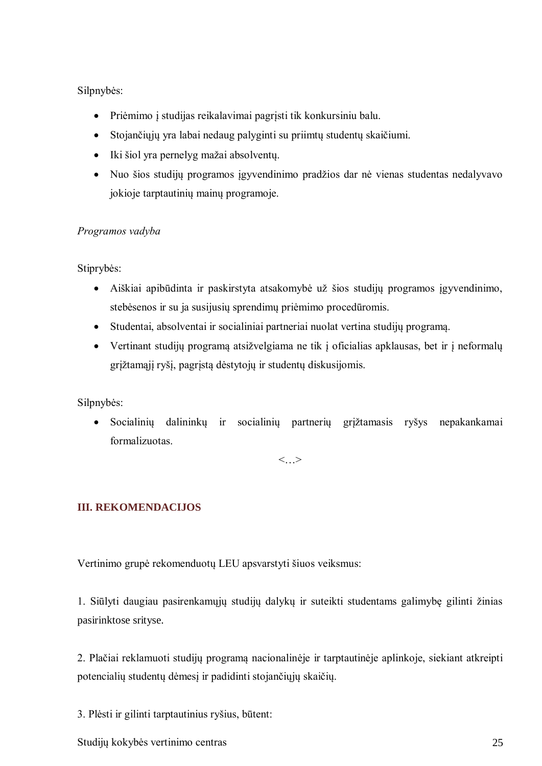## Silpnybės:

- Priėmimo į studijas reikalavimai pagrįsti tik konkursiniu balu.
- Stojančiųjų yra labai nedaug palyginti su priimtų studentų skaičiumi.
- Iki šiol yra pernelyg mažai absolventų.
- Nuo šios studijų programos įgyvendinimo pradžios dar nė vienas studentas nedalyvavo jokioje tarptautinių mainų programoje.

## *Programos vadyba*

Stiprybės:

- Aiškiai apibūdinta ir paskirstyta atsakomybė už šios studijų programos įgyvendinimo, stebėsenos ir su ja susijusių sprendimų priėmimo procedūromis.
- Studentai, absolventai ir socialiniai partneriai nuolat vertina studijų programą.
- Vertinant studijų programą atsižvelgiama ne tik į oficialias apklausas, bet ir į neformalų grįžtamąjį ryšį, pagrįstą dėstytojų ir studentų diskusijomis.

Silpnybės:

 Socialinių dalininkų ir socialinių partnerių grįžtamasis ryšys nepakankamai formalizuotas.

 $\langle \quad \rangle$ 

# **III. REKOMENDACIJOS**

Vertinimo grupė rekomenduotų LEU apsvarstyti šiuos veiksmus:

1. Siūlyti daugiau pasirenkamųjų studijų dalykų ir suteikti studentams galimybę gilinti žinias pasirinktose srityse.

2. Plačiai reklamuoti studijų programą nacionalinėje ir tarptautinėje aplinkoje, siekiant atkreipti potencialių studentų dėmesį ir padidinti stojančiųjų skaičių.

3. Plėsti ir gilinti tarptautinius ryšius, būtent:

Studijų kokybės vertinimo centras 25